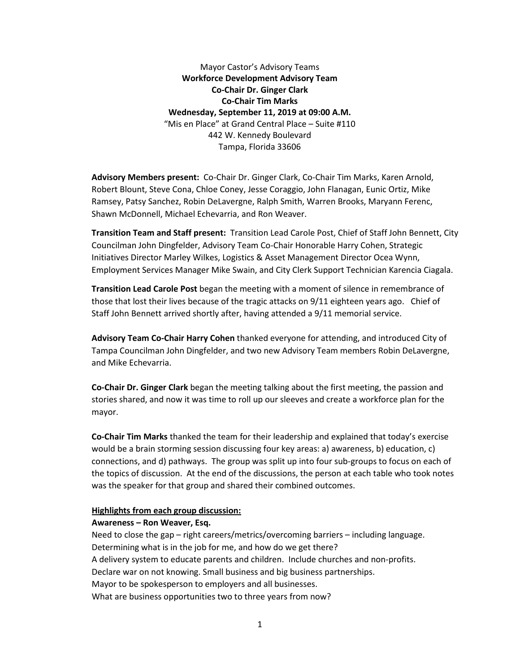Mayor Castor's Advisory Teams **Workforce Development Advisory Team Co-Chair Dr. Ginger Clark Co-Chair Tim Marks Wednesday, September 11, 2019 at 09:00 A.M.** "Mis en Place" at Grand Central Place – Suite #110 442 W. Kennedy Boulevard Tampa, Florida 33606

**Advisory Members present:** Co-Chair Dr. Ginger Clark, Co-Chair Tim Marks, Karen Arnold, Robert Blount, Steve Cona, Chloe Coney, Jesse Coraggio, John Flanagan, Eunic Ortiz, Mike Ramsey, Patsy Sanchez, Robin DeLavergne, Ralph Smith, Warren Brooks, Maryann Ferenc, Shawn McDonnell, Michael Echevarria, and Ron Weaver.

**Transition Team and Staff present:** Transition Lead Carole Post, Chief of Staff John Bennett, City Councilman John Dingfelder, Advisory Team Co-Chair Honorable Harry Cohen, Strategic Initiatives Director Marley Wilkes, Logistics & Asset Management Director Ocea Wynn, Employment Services Manager Mike Swain, and City Clerk Support Technician Karencia Ciagala.

**Transition Lead Carole Post** began the meeting with a moment of silence in remembrance of those that lost their lives because of the tragic attacks on 9/11 eighteen years ago. Chief of Staff John Bennett arrived shortly after, having attended a 9/11 memorial service.

**Advisory Team Co-Chair Harry Cohen** thanked everyone for attending, and introduced City of Tampa Councilman John Dingfelder, and two new Advisory Team members Robin DeLavergne, and Mike Echevarria.

**Co-Chair Dr. Ginger Clark** began the meeting talking about the first meeting, the passion and stories shared, and now it was time to roll up our sleeves and create a workforce plan for the mayor.

**Co-Chair Tim Marks** thanked the team for their leadership and explained that today's exercise would be a brain storming session discussing four key areas: a) awareness, b) education, c) connections, and d) pathways. The group was split up into four sub-groups to focus on each of the topics of discussion. At the end of the discussions, the person at each table who took notes was the speaker for that group and shared their combined outcomes.

### **Highlights from each group discussion:**

# **Awareness – Ron Weaver, Esq.**

Need to close the gap – right careers/metrics/overcoming barriers – including language. Determining what is in the job for me, and how do we get there? A delivery system to educate parents and children. Include churches and non-profits. Declare war on not knowing. Small business and big business partnerships. Mayor to be spokesperson to employers and all businesses. What are business opportunities two to three years from now?